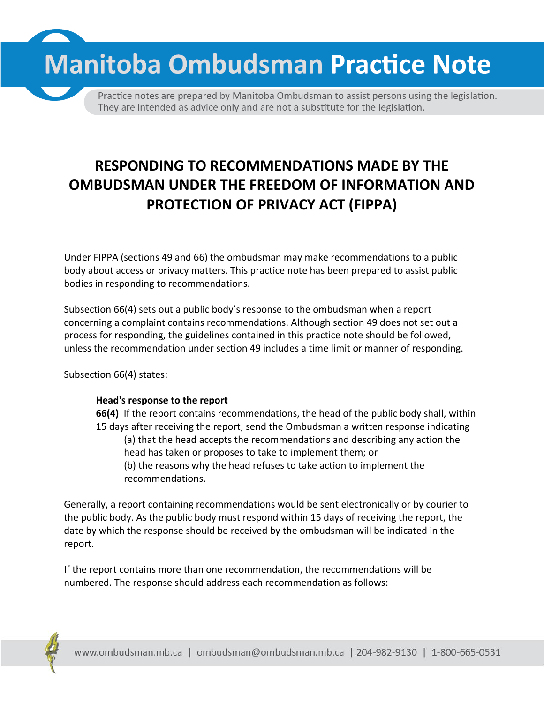**Manitoba Ombudsman Practice Note** 

Practice notes are prepared by Manitoba Ombudsman to assist persons using the legislation. They are intended as advice only and are not a substitute for the legislation.

## **RESPONDING TO RECOMMENDATIONS MADE BY THE OMBUDSMAN UNDER THE FREEDOM OF INFORMATION AND PROTECTION OF PRIVACY ACT (FIPPA)**

Under FIPPA (sections 49 and 66) the ombudsman may make recommendations to a public body about access or privacy matters. This practice note has been prepared to assist public bodies in responding to recommendations.

Subsection 66(4) sets out a public body's response to the ombudsman when a report concerning a complaint contains recommendations. Although section 49 does not set out a process for responding, the guidelines contained in this practice note should be followed, unless the recommendation under section 49 includes a time limit or manner of responding.

Subsection 66(4) states:

## **Head's response to the report**

**66(4)** If the report contains recommendations, the head of the public body shall, within 15 days after receiving the report, send the Ombudsman a written response indicating (a) that the head accepts the recommendations and describing any action the head has taken or proposes to take to implement them; or (b) the reasons why the head refuses to take action to implement the recommendations.

Generally, a report containing recommendations would be sent electronically or by courier to the public body. As the public body must respond within 15 days of receiving the report, the date by which the response should be received by the ombudsman will be indicated in the report.

If the report contains more than one recommendation, the recommendations will be numbered. The response should address each recommendation as follows:

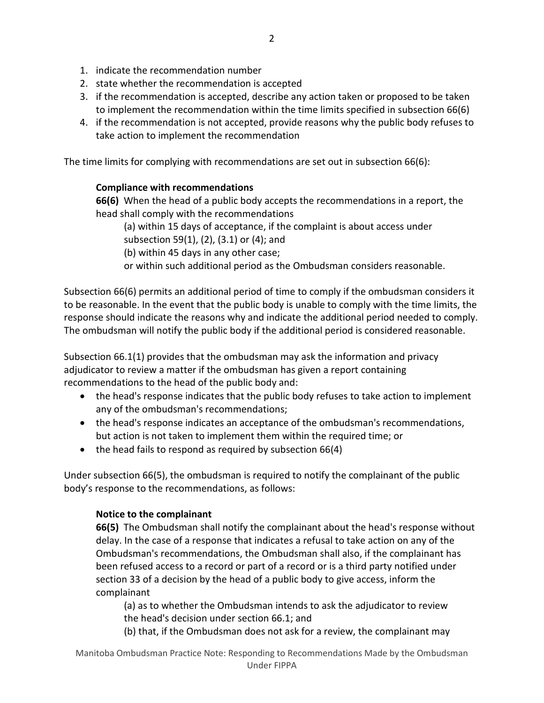- 1. indicate the recommendation number
- 2. state whether the recommendation is accepted
- 3. if the recommendation is accepted, describe any action taken or proposed to be taken to implement the recommendation within the time limits specified in subsection 66(6)
- 4. if the recommendation is not accepted, provide reasons why the public body refuses to take action to implement the recommendation

The time limits for complying with recommendations are set out in subsection 66(6):

## **Compliance with recommendations**

**66(6)** When the head of a public body accepts the recommendations in a report, the head shall comply with the recommendations

(a) within 15 days of acceptance, if the complaint is about access under subsection 59(1), (2), (3.1) or (4); and

(b) within 45 days in any other case;

or within such additional period as the Ombudsman considers reasonable.

Subsection 66(6) permits an additional period of time to comply if the ombudsman considers it to be reasonable. In the event that the public body is unable to comply with the time limits, the response should indicate the reasons why and indicate the additional period needed to comply. The ombudsman will notify the public body if the additional period is considered reasonable.

Subsection 66.1(1) provides that the ombudsman may ask the information and privacy adjudicator to review a matter if the ombudsman has given a report containing recommendations to the head of the public body and:

- the head's response indicates that the public body refuses to take action to implement any of the ombudsman's recommendations;
- the head's response indicates an acceptance of the ombudsman's recommendations, but action is not taken to implement them within the required time; or
- the head fails to respond as required by subsection 66(4)

Under subsection 66(5), the ombudsman is required to notify the complainant of the public body's response to the recommendations, as follows:

## **Notice to the complainant**

**66(5)** The Ombudsman shall notify the complainant about the head's response without delay. In the case of a response that indicates a refusal to take action on any of the Ombudsman's recommendations, the Ombudsman shall also, if the complainant has been refused access to a record or part of a record or is a third party notified under section 33 of a decision by the head of a public body to give access, inform the complainant

(a) as to whether the Ombudsman intends to ask the adjudicator to review the head's decision under section 66.1; and

(b) that, if the Ombudsman does not ask for a review, the complainant may